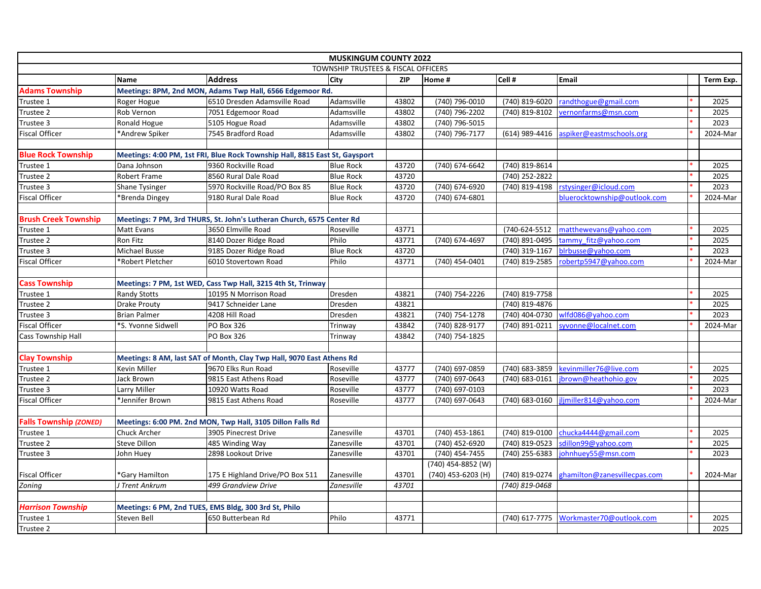|                               |                       |                                                                             | <b>MUSKINGUM COUNTY 2022</b> |            |                    |                |                              |           |
|-------------------------------|-----------------------|-----------------------------------------------------------------------------|------------------------------|------------|--------------------|----------------|------------------------------|-----------|
|                               |                       | TOWNSHIP TRUSTEES & FISCAL OFFICERS                                         |                              |            |                    |                |                              |           |
|                               | <b>Name</b>           | <b>Address</b>                                                              | City                         | <b>ZIP</b> | Home #             | Cell #         | Email                        | Term Exp. |
| <b>Adams Township</b>         |                       | Meetings: 8PM, 2nd MON, Adams Twp Hall, 6566 Edgemoor Rd.                   |                              |            |                    |                |                              |           |
| Trustee 1                     | Roger Hogue           | 6510 Dresden Adamsville Road                                                | Adamsville                   | 43802      | (740) 796-0010     | (740) 819-6020 | randthogue@gmail.com         | 2025      |
| Trustee 2                     | Rob Vernon            | 7051 Edgemoor Road                                                          | Adamsville                   | 43802      | (740) 796-2202     | (740) 819-8102 | vernonfarms@msn.com          | 2025      |
| Trustee 3                     | Ronald Hogue          | 5105 Hogue Road                                                             | Adamsville                   | 43802      | (740) 796-5015     |                |                              | 2023      |
| <b>Fiscal Officer</b>         | *Andrew Spiker        | 7545 Bradford Road                                                          | Adamsville                   | 43802      | (740) 796-7177     | (614) 989-4416 | aspiker@eastmschools.org     | 2024-Mar  |
|                               |                       |                                                                             |                              |            |                    |                |                              |           |
| <b>Blue Rock Township</b>     |                       | Meetings: 4:00 PM, 1st FRI, Blue Rock Township Hall, 8815 East St, Gaysport |                              |            |                    |                |                              |           |
| Trustee 1                     | Dana Johnson          | 9360 Rockville Road                                                         | <b>Blue Rock</b>             | 43720      | (740) 674-6642     | (740) 819-8614 |                              | 2025      |
| Trustee 2                     | Robert Frame          | 8560 Rural Dale Road                                                        | <b>Blue Rock</b>             | 43720      |                    | (740) 252-2822 |                              | 2025      |
| Trustee 3                     | <b>Shane Tysinger</b> | 5970 Rockville Road/PO Box 85                                               | <b>Blue Rock</b>             | 43720      | (740) 674-6920     | (740) 819-4198 | rstysinger@icloud.com        | 2023      |
| <b>Fiscal Officer</b>         | *Brenda Dingey        | 9180 Rural Dale Road                                                        | <b>Blue Rock</b>             | 43720      | (740) 674-6801     |                | bluerocktownship@outlook.com | 2024-Mar  |
|                               |                       |                                                                             |                              |            |                    |                |                              |           |
| <b>Brush Creek Township</b>   |                       | Meetings: 7 PM, 3rd THURS, St. John's Lutheran Church, 6575 Center Rd       |                              |            |                    |                |                              |           |
| Trustee 1                     | Matt Evans            | 3650 Elmville Road                                                          | Roseville                    | 43771      |                    | (740-624-5512  | matthewevans@yahoo.com       | 2025      |
| Trustee 2                     | Ron Fitz              | 8140 Dozer Ridge Road                                                       | Philo                        | 43771      | (740) 674-4697     | (740) 891-0495 | tammy fitz@yahoo.com         | 2025      |
| Trustee 3                     | Michael Busse         | 9185 Dozer Ridge Road                                                       | <b>Blue Rock</b>             | 43720      |                    | (740) 319-1167 | blrbusse@yahoo.com           | 2023      |
| <b>Fiscal Officer</b>         | *Robert Pletcher      | 6010 Stovertown Road                                                        | Philo                        | 43771      | (740) 454-0401     | (740) 819-2585 | robertp5947@yahoo.com        | 2024-Mar  |
|                               |                       |                                                                             |                              |            |                    |                |                              |           |
| <b>Cass Township</b>          |                       | Meetings: 7 PM, 1st WED, Cass Twp Hall, 3215 4th St, Trinway                |                              |            |                    |                |                              |           |
| Trustee 1                     | <b>Randy Stotts</b>   | 10195 N Morrison Road                                                       | Dresden                      | 43821      | (740) 754-2226     | (740) 819-7758 |                              | 2025      |
| Trustee 2                     | <b>Drake Prouty</b>   | 9417 Schneider Lane                                                         | Dresden                      | 43821      |                    | (740) 819-4876 |                              | 2025      |
| Trustee 3                     | <b>Brian Palmer</b>   | 4208 Hill Road                                                              | Dresden                      | 43821      | (740) 754-1278     | (740) 404-0730 | wlfd086@yahoo.com            | 2023      |
| <b>Fiscal Officer</b>         | *S. Yvonne Sidwell    | <b>PO Box 326</b>                                                           | Trinway                      | 43842      | (740) 828-9177     | (740) 891-0211 | syvonne@localnet.com         | 2024-Mar  |
| <b>Cass Township Hall</b>     |                       | PO Box 326                                                                  | Trinway                      | 43842      | (740) 754-1825     |                |                              |           |
|                               |                       |                                                                             |                              |            |                    |                |                              |           |
| <b>Clay Township</b>          |                       | Meetings: 8 AM, last SAT of Month, Clay Twp Hall, 9070 East Athens Rd       |                              |            |                    |                |                              |           |
| Trustee 1                     | Kevin Miller          | 9670 Elks Run Road                                                          | Roseville                    | 43777      | (740) 697-0859     | (740) 683-3859 | kevinmiller76@live.com       | 2025      |
| Trustee 2                     | Jack Brown            | 9815 East Athens Road                                                       | Roseville                    | 43777      | (740) 697-0643     | (740) 683-0161 | jbrown@heathohio.gov         | 2025      |
| Trustee 3                     | Larry Miller          | 10920 Watts Road                                                            | Roseville                    | 43777      | (740) 697-0103     |                |                              | 2023      |
| <b>Fiscal Officer</b>         | *Jennifer Brown       | 9815 East Athens Road                                                       | Roseville                    | 43777      | (740) 697-0643     | (740) 683-0160 | jljmiller814@yahoo.com       | 2024-Mar  |
|                               |                       |                                                                             |                              |            |                    |                |                              |           |
| <b>Falls Township (ZONED)</b> |                       | Meetings: 6:00 PM. 2nd MON, Twp Hall, 3105 Dillon Falls Rd                  |                              |            |                    |                |                              |           |
| Trustee 1                     | Chuck Archer          | 3905 Pinecrest Drive                                                        | Zanesville                   | 43701      | (740) 453-1861     | (740) 819-0100 | chucka4444@gmail.com         | 2025      |
| Trustee 2                     | Steve Dillon          | 485 Winding Way                                                             | Zanesville                   | 43701      | (740) 452-6920     | (740) 819-0523 | sdillon99@yahoo.com          | 2025      |
| Trustee 3                     | John Huey             | 2898 Lookout Drive                                                          | Zanesville                   | 43701      | (740) 454-7455     | (740) 255-6383 | johnhuey55@msn.com           | 2023      |
|                               |                       |                                                                             |                              |            | (740) 454-8852 (W) |                |                              |           |
| <b>Fiscal Officer</b>         | *Gary Hamilton        | 175 E Highland Drive/PO Box 511                                             | Zanesville                   | 43701      | (740) 453-6203 (H) | (740) 819-0274 | ghamilton@zanesvillecpas.com | 2024-Mar  |
| Zoning                        | J Trent Ankrum        | 499 Grandview Drive                                                         | Zanesville                   | 43701      |                    | (740) 819-0468 |                              |           |
|                               |                       |                                                                             |                              |            |                    |                |                              |           |
| <b>Harrison Township</b>      |                       | Meetings: 6 PM, 2nd TUES, EMS Bldg, 300 3rd St, Philo                       |                              |            |                    |                |                              |           |
| Trustee 1                     | Steven Bell           | 650 Butterbean Rd                                                           | Philo                        | 43771      |                    | (740) 617-7775 | Workmaster70@outlook.com     | 2025      |
| Trustee 2                     |                       |                                                                             |                              |            |                    |                |                              | 2025      |
|                               |                       |                                                                             |                              |            |                    |                |                              |           |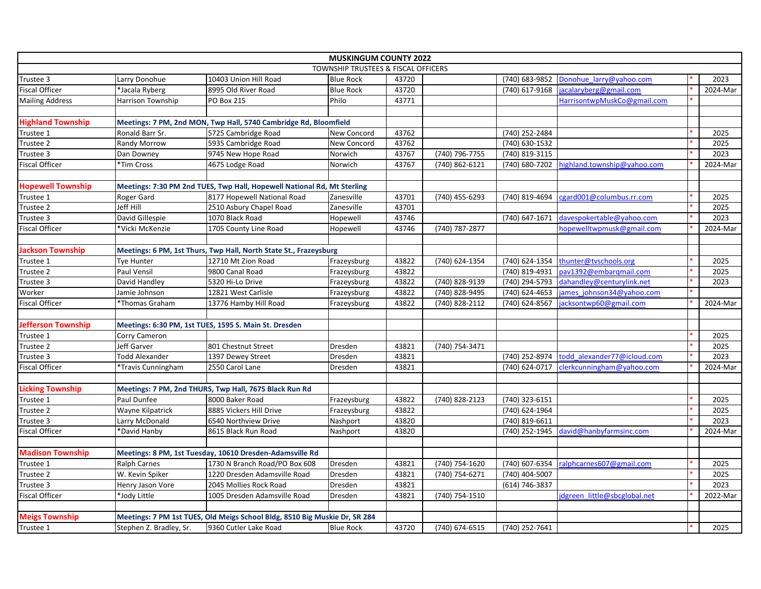|                           |                          |                                                                            | <b>MUSKINGUM COUNTY 2022</b>        |       |                    |                  |                              |          |
|---------------------------|--------------------------|----------------------------------------------------------------------------|-------------------------------------|-------|--------------------|------------------|------------------------------|----------|
|                           |                          |                                                                            | TOWNSHIP TRUSTEES & FISCAL OFFICERS |       |                    |                  |                              |          |
| Trustee 3                 | Larry Donohue            | 10403 Union Hill Road                                                      | <b>Blue Rock</b>                    | 43720 |                    | (740) 683-9852   | Donohue larry@yahoo.com      | 2023     |
| <b>Fiscal Officer</b>     | *Jacala Ryberg           | 8995 Old River Road                                                        | <b>Blue Rock</b>                    | 43720 |                    | (740) 617-9168   | jacalaryberg@gmail.com       | 2024-Mar |
| <b>Mailing Address</b>    | <b>Harrison Township</b> | <b>PO Box 215</b>                                                          | Philo                               | 43771 |                    |                  | HarrisontwpMuskCo@gmail.com  |          |
| <b>Highland Township</b>  |                          | Meetings: 7 PM, 2nd MON, Twp Hall, 5740 Cambridge Rd, Bloomfield           |                                     |       |                    |                  |                              |          |
| Trustee 1                 | Ronald Barr Sr.          | 5725 Cambridge Road                                                        | New Concord                         | 43762 |                    | (740) 252-2484   |                              | 2025     |
| Trustee 2                 | Randy Morrow             | 5935 Cambridge Road                                                        | <b>New Concord</b>                  | 43762 |                    | (740) 630-1532   |                              | 2025     |
| Trustee 3                 | Dan Downey               | 9745 New Hope Road                                                         | Norwich                             | 43767 | (740) 796-7755     | (740) 819-3115   |                              | 2023     |
| <b>Fiscal Officer</b>     | *Tim Cross               | 4675 Lodge Road                                                            | Norwich                             | 43767 | (740) 862-6121     | (740) 680-7202   | highland.township@yahoo.com  | 2024-Mar |
| <b>Hopewell Township</b>  |                          | Meetings: 7:30 PM 2nd TUES, Twp Hall, Hopewell National Rd, Mt Sterling    |                                     |       |                    |                  |                              |          |
| Trustee 1                 | Roger Gard               | 8177 Hopewell National Road                                                | Zanesville                          | 43701 | (740) 455-6293     | (740) 819-4694   | cgard001@columbus.rr.com     | 2025     |
| Trustee 2                 | Jeff Hill                | 2510 Asbury Chapel Road                                                    | Zanesville                          | 43701 |                    |                  |                              | 2025     |
| Trustee 3                 | David Gillespie          | 1070 Black Road                                                            | Hopewell                            | 43746 |                    | (740) 647-1671   | davespokertable@yahoo.com    | 2023     |
| <b>Fiscal Officer</b>     | *Vicki McKenzie          | 1705 County Line Road                                                      | Hopewell                            | 43746 | (740) 787-2877     |                  | hopewelltwpmusk@gmail.com    | 2024-Mar |
|                           |                          |                                                                            |                                     |       |                    |                  |                              |          |
| <b>Jackson Township</b>   |                          | Meetings: 6 PM, 1st Thurs, Twp Hall, North State St., Frazeysburg          |                                     |       |                    |                  |                              |          |
| Trustee 1                 | Tye Hunter               | 12710 Mt Zion Road                                                         | Frazeysburg                         | 43822 | (740) 624-1354     | (740) 624-1354   | thunter@tvschools.org        | 2025     |
| Trustee 2                 | Paul Vensil              | 9800 Canal Road                                                            | Frazeysburg                         | 43822 |                    | (740) 819-4931   | pav1392@embargmail.com       | 2025     |
| Trustee 3                 | David Handley            | 5320 Hi-Lo Drive                                                           | Frazeysburg                         | 43822 | (740) 828-9139     | (740) 294-5793   | dahandley@centurylink.net    | 2023     |
| Worker                    | Jamie Johnson            | 12821 West Carlisle                                                        | Frazeysburg                         | 43822 | (740) 828-9495     | (740) 624-4653   | james johnson34@yahoo.com    |          |
| <b>Fiscal Officer</b>     | *Thomas Graham           | 13776 Hamby Hill Road                                                      | Frazeysburg                         | 43822 | (740) 828-2112     | (740) 624-8567   | jacksontwp60@gmail.com       | 2024-Mar |
| <b>Jefferson Township</b> |                          | Meetings: 6:30 PM, 1st TUES, 1595 S. Main St. Dresden                      |                                     |       |                    |                  |                              |          |
| Trustee 1                 | Corry Cameron            |                                                                            |                                     |       |                    |                  |                              | 2025     |
| Trustee 2                 | Jeff Garver              | 801 Chestnut Street                                                        | Dresden                             | 43821 | (740) 754-3471     |                  |                              | 2025     |
| Trustee 3                 | <b>Todd Alexander</b>    | 1397 Dewey Street                                                          | Dresden                             | 43821 |                    | (740) 252-8974   | todd alexander77@icloud.com  | 2023     |
| <b>Fiscal Officer</b>     | *Travis Cunningham       | 2550 Carol Lane                                                            | Dresden                             | 43821 |                    | (740) 624-0717   | clerkcunningham@yahoo.com    | 2024-Mar |
|                           |                          |                                                                            |                                     |       |                    |                  |                              |          |
| <b>Licking Township</b>   |                          | Meetings: 7 PM, 2nd THURS, Twp Hall, 7675 Black Run Rd                     |                                     |       |                    |                  |                              |          |
| Trustee 1                 | Paul Dunfee              | 8000 Baker Road                                                            | Frazeysburg                         | 43822 | (740) 828-2123     | (740) 323-6151   |                              | 2025     |
| Trustee 2                 | Wayne Kilpatrick         | 8885 Vickers Hill Drive                                                    | Frazeysburg                         | 43822 |                    | (740) 624-1964   |                              | 2025     |
| Trustee 3                 | Larry McDonald           | 6540 Northview Drive                                                       | Nashport                            | 43820 |                    | (740) 819-6611   |                              | 2023     |
| <b>Fiscal Officer</b>     | *David Hanby             | 8615 Black Run Road                                                        | Nashport                            | 43820 |                    | (740) 252-1945   | david@hanbyfarmsinc.com      | 2024-Mar |
| <b>Madison Township</b>   |                          | Meetings: 8 PM, 1st Tuesday, 10610 Dresden-Adamsville Rd                   |                                     |       |                    |                  |                              |          |
| Trustee 1                 | <b>Ralph Carnes</b>      | 1730 N Branch Road/PO Box 608                                              | Dresden                             | 43821 | (740) 754-1620     | (740) 607-6354   | ralphcarnes607@gmail.com     | 2025     |
| Trustee 2                 | W. Kevin Spiker          | 1220 Dresden Adamsville Road                                               | Dresden                             | 43821 | $(740) 754 - 6271$ | $(740)$ 404-5007 |                              | 2025     |
| Trustee 3                 | Henry Jason Vore         | 2045 Mollies Rock Road                                                     | Dresden                             | 43821 |                    | (614) 746-3837   |                              | 2023     |
| <b>Fiscal Officer</b>     | *Jody Little             | 1005 Dresden Adamsville Road                                               | Dresden                             | 43821 | (740) 754-1510     |                  | idgreen little@sbcglobal.net | 2022-Mar |
| <b>Meigs Township</b>     |                          | Meetings: 7 PM 1st TUES, Old Meigs School Bldg, 8510 Big Muskie Dr, SR 284 |                                     |       |                    |                  |                              |          |
| Trustee 1                 | Stephen Z. Bradley, Sr.  | 9360 Cutler Lake Road                                                      | <b>Blue Rock</b>                    | 43720 | (740) 674-6515     | (740) 252-7641   |                              | 2025     |
|                           |                          |                                                                            |                                     |       |                    |                  |                              |          |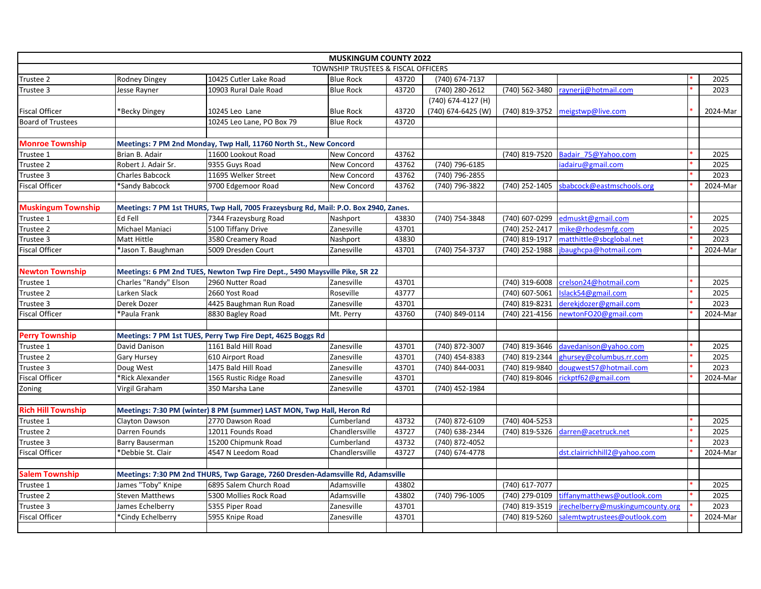| <b>MUSKINGUM COUNTY 2022</b>        |                                                                                 |                                                                                      |                  |       |                    |                |                                  |  |          |  |
|-------------------------------------|---------------------------------------------------------------------------------|--------------------------------------------------------------------------------------|------------------|-------|--------------------|----------------|----------------------------------|--|----------|--|
| TOWNSHIP TRUSTEES & FISCAL OFFICERS |                                                                                 |                                                                                      |                  |       |                    |                |                                  |  |          |  |
| Trustee 2                           | Rodney Dingey                                                                   | 10425 Cutler Lake Road                                                               | <b>Blue Rock</b> | 43720 | (740) 674-7137     |                |                                  |  | 2025     |  |
| Trustee 3                           | Jesse Rayner                                                                    | 10903 Rural Dale Road                                                                | <b>Blue Rock</b> | 43720 | (740) 280-2612     | (740) 562-3480 | raynerjj@hotmail.com             |  | 2023     |  |
|                                     |                                                                                 |                                                                                      |                  |       | (740) 674-4127 (H) |                |                                  |  |          |  |
| <b>Fiscal Officer</b>               | Becky Dingey <sup>*</sup>                                                       | 10245 Leo Lane                                                                       | <b>Blue Rock</b> | 43720 | (740) 674-6425 (W) |                | (740) 819-3752 meigstwp@live.com |  | 2024-Mar |  |
| <b>Board of Trustees</b>            |                                                                                 | 10245 Leo Lane, PO Box 79                                                            | <b>Blue Rock</b> | 43720 |                    |                |                                  |  |          |  |
|                                     |                                                                                 |                                                                                      |                  |       |                    |                |                                  |  |          |  |
| <b>Monroe Township</b>              |                                                                                 | Meetings: 7 PM 2nd Monday, Twp Hall, 11760 North St., New Concord                    |                  |       |                    |                |                                  |  |          |  |
| Trustee 1                           | Brian B. Adair                                                                  | 11600 Lookout Road                                                                   | New Concord      | 43762 |                    | (740) 819-7520 | Badair 75@Yahoo.com              |  | 2025     |  |
| Trustee 2                           | Robert J. Adair Sr.                                                             | 9355 Guys Road                                                                       | New Concord      | 43762 | (740) 796-6185     |                | iadairu@gmail.com                |  | 2025     |  |
| Trustee 3                           | <b>Charles Babcock</b>                                                          | 11695 Welker Street                                                                  | New Concord      | 43762 | (740) 796-2855     |                |                                  |  | 2023     |  |
| <b>Fiscal Officer</b>               | *Sandy Babcock                                                                  | 9700 Edgemoor Road                                                                   | New Concord      | 43762 | (740) 796-3822     | (740) 252-1405 | sbabcock@eastmschools.org        |  | 2024-Mar |  |
|                                     |                                                                                 |                                                                                      |                  |       |                    |                |                                  |  |          |  |
| <b>Muskingum Township</b>           |                                                                                 | Meetings: 7 PM 1st THURS, Twp Hall, 7005 Frazeysburg Rd, Mail: P.O. Box 2940, Zanes. |                  |       |                    |                |                                  |  |          |  |
| Trustee 1                           | Ed Fell                                                                         | 7344 Frazeysburg Road                                                                | Nashport         | 43830 | (740) 754-3848     | (740) 607-0299 | edmuskt@gmail.com                |  | 2025     |  |
| Trustee 2                           | Michael Maniaci                                                                 | 5100 Tiffany Drive                                                                   | Zanesville       | 43701 |                    | (740) 252-2417 | mike@rhodesmfg.com               |  | 2025     |  |
| Trustee 3                           | Matt Hittle                                                                     | 3580 Creamery Road                                                                   | Nashport         | 43830 |                    | (740) 819-1917 | matthittle@sbcglobal.net         |  | 2023     |  |
| <b>Fiscal Officer</b>               | *Jason T. Baughman                                                              | 5009 Dresden Court                                                                   | Zanesville       | 43701 | (740) 754-3737     | (740) 252-1988 | jbaughcpa@hotmail.com            |  | 2024-Mar |  |
|                                     |                                                                                 |                                                                                      |                  |       |                    |                |                                  |  |          |  |
| <b>Newton Township</b>              |                                                                                 | Meetings: 6 PM 2nd TUES, Newton Twp Fire Dept., 5490 Maysville Pike, SR 22           |                  |       |                    |                |                                  |  |          |  |
| Trustee 1                           | Charles "Randy" Elson                                                           | 2960 Nutter Road                                                                     | Zanesville       | 43701 |                    | (740) 319-6008 | crelson24@hotmail.com            |  | 2025     |  |
| Trustee 2                           | Larken Slack                                                                    | 2660 Yost Road                                                                       | Roseville        | 43777 |                    | (740) 607-5061 | Islack54@gmail.com               |  | 2025     |  |
| Trustee 3                           | Derek Dozer                                                                     | 4425 Baughman Run Road                                                               | Zanesville       | 43701 |                    | (740) 819-8231 | derekjdozer@gmail.com            |  | 2023     |  |
| <b>Fiscal Officer</b>               | *Paula Frank                                                                    | 8830 Bagley Road                                                                     | Mt. Perry        | 43760 | (740) 849-0114     | (740) 221-4156 | newtonFO20@gmail.com             |  | 2024-Mar |  |
|                                     |                                                                                 |                                                                                      |                  |       |                    |                |                                  |  |          |  |
| <b>Perry Township</b>               |                                                                                 | Meetings: 7 PM 1st TUES, Perry Twp Fire Dept, 4625 Boggs Rd                          |                  |       |                    |                |                                  |  |          |  |
| Trustee 1                           | David Danison                                                                   | 1161 Bald Hill Road                                                                  | Zanesville       | 43701 | (740) 872-3007     | (740) 819-3646 | davedanison@yahoo.com            |  | 2025     |  |
| Trustee 2                           | <b>Gary Hursey</b>                                                              | 610 Airport Road                                                                     | Zanesville       | 43701 | (740) 454-8383     | (740) 819-2344 | ghursey@columbus.rr.com          |  | 2025     |  |
| Trustee 3                           | Doug West                                                                       | 1475 Bald Hill Road                                                                  | Zanesville       | 43701 | (740) 844-0031     | (740) 819-9840 | dougwest57@hotmail.com           |  | 2023     |  |
| <b>Fiscal Officer</b>               | *Rick Alexander                                                                 | 1565 Rustic Ridge Road                                                               | Zanesville       | 43701 |                    | (740) 819-8046 | rickptf62@gmail.com              |  | 2024-Mar |  |
| Zoning                              | Virgil Graham                                                                   | 350 Marsha Lane                                                                      | Zanesville       | 43701 | (740) 452-1984     |                |                                  |  |          |  |
|                                     |                                                                                 |                                                                                      |                  |       |                    |                |                                  |  |          |  |
| <b>Rich Hill Township</b>           |                                                                                 | Meetings: 7:30 PM (winter) 8 PM (summer) LAST MON, Twp Hall, Heron Rd                |                  |       |                    |                |                                  |  |          |  |
| Trustee 1                           | Clayton Dawson                                                                  | 2770 Dawson Road                                                                     | Cumberland       | 43732 | (740) 872-6109     | (740) 404-5253 |                                  |  | 2025     |  |
| Trustee 2                           | Darren Founds                                                                   | 12011 Founds Road                                                                    | Chandlersville   | 43727 | (740) 638-2344     | (740) 819-5326 | darren@acetruck.net              |  | 2025     |  |
| Trustee 3                           | Barry Bauserman                                                                 | 15200 Chipmunk Road                                                                  | Cumberland       | 43732 | (740) 872-4052     |                |                                  |  | 2023     |  |
| <b>Fiscal Officer</b>               | *Debbie St. Clair                                                               | 4547 N Leedom Road                                                                   | Chandlersville   | 43727 | (740) 674-4778     |                | dst.clairrichhill2@yahoo.com     |  | 2024-Mar |  |
|                                     |                                                                                 |                                                                                      |                  |       |                    |                |                                  |  |          |  |
| <b>Salem Township</b>               | Meetings: 7:30 PM 2nd THURS, Twp Garage, 7260 Dresden-Adamsville Rd, Adamsville |                                                                                      |                  |       |                    |                |                                  |  |          |  |
| Trustee 1                           | James "Toby" Knipe                                                              | 6895 Salem Church Road                                                               | Adamsville       | 43802 |                    | (740) 617-7077 |                                  |  | 2025     |  |
| Trustee 2                           | <b>Steven Matthews</b>                                                          | 5300 Mollies Rock Road                                                               | Adamsville       | 43802 | (740) 796-1005     | (740) 279-0109 | tiffanymatthews@outlook.com      |  | 2025     |  |
| Trustee 3                           | James Echelberry                                                                | 5355 Piper Road                                                                      | Zanesville       | 43701 |                    | (740) 819-3519 | jrechelberry@muskingumcounty.org |  | 2023     |  |
| <b>Fiscal Officer</b>               | *Cindy Echelberry                                                               | 5955 Knipe Road                                                                      | Zanesville       | 43701 |                    | (740) 819-5260 | salemtwptrustees@outlook.com     |  | 2024-Mar |  |
|                                     |                                                                                 |                                                                                      |                  |       |                    |                |                                  |  |          |  |